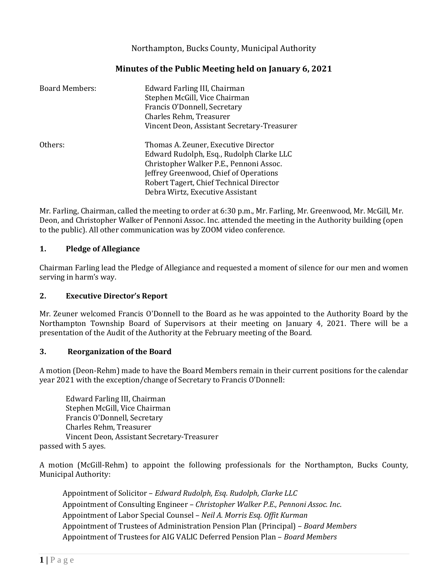Northampton, Bucks County, Municipal Authority

# **Minutes of the Public Meeting held on January 6, 2021**

| <b>Board Members:</b> | Edward Farling III, Chairman<br>Stephen McGill, Vice Chairman<br>Francis O'Donnell, Secretary<br>Charles Rehm, Treasurer<br>Vincent Deon, Assistant Secretary-Treasurer                                                                              |
|-----------------------|------------------------------------------------------------------------------------------------------------------------------------------------------------------------------------------------------------------------------------------------------|
| Others:               | Thomas A. Zeuner, Executive Director<br>Edward Rudolph, Esq., Rudolph Clarke LLC<br>Christopher Walker P.E., Pennoni Assoc.<br>Jeffrey Greenwood, Chief of Operations<br>Robert Tagert, Chief Technical Director<br>Debra Wirtz, Executive Assistant |

Mr. Farling, Chairman, called the meeting to order at 6:30 p.m., Mr. Farling, Mr. Greenwood, Mr. McGill, Mr. Deon, and Christopher Walker of Pennoni Assoc. Inc. attended the meeting in the Authority building (open to the public). All other communication was by ZOOM video conference.

### **1. Pledge of Allegiance**

Chairman Farling lead the Pledge of Allegiance and requested a moment of silence for our men and women serving in harm's way.

## **2. Executive Director's Report**

Mr. Zeuner welcomed Francis O'Donnell to the Board as he was appointed to the Authority Board by the Northampton Township Board of Supervisors at their meeting on January 4, 2021. There will be a presentation of the Audit of the Authority at the February meeting of the Board.

#### **3. Reorganization of the Board**

A motion (Deon-Rehm) made to have the Board Members remain in their current positions for the calendar year 2021 with the exception/change of Secretary to Francis O'Donnell:

Edward Farling III, Chairman Stephen McGill, Vice Chairman Francis O'Donnell, Secretary Charles Rehm, Treasurer Vincent Deon, Assistant Secretary-Treasurer passed with 5 ayes.

A motion (McGill-Rehm) to appoint the following professionals for the Northampton, Bucks County, Municipal Authority:

Appointment of Solicitor – *Edward Rudolph, Esq*. *Rudolph, Clarke LLC* Appointment of Consulting Engineer – *Christopher Walker P.E., Pennoni Assoc. Inc*. Appointment of Labor Special Counsel – *Neil A. Morris Esq. Offit Kurman* Appointment of Trustees of Administration Pension Plan (Principal) – *Board Members* Appointment of Trustees for AIG VALIC Deferred Pension Plan – *Board Members*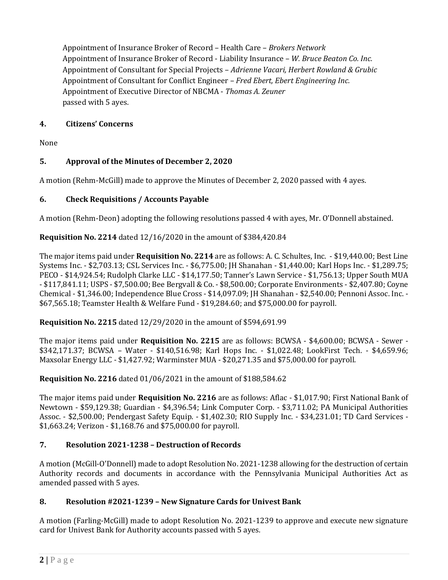Appointment of Insurance Broker of Record – Health Care – *Brokers Network* Appointment of Insurance Broker of Record - Liability Insurance – *W. Bruce Beaton Co. Inc.* Appointment of Consultant for Special Projects – *Adrienne Vacari, Herbert Rowland & Grubic* Appointment of Consultant for Conflict Engineer – *Fred Ebert, Ebert Engineering Inc.* Appointment of Executive Director of NBCMA - *Thomas A. Zeuner* passed with 5 ayes.

### **4. Citizens' Concerns**

None

## **5. Approval of the Minutes of December 2, 2020**

A motion (Rehm-McGill) made to approve the Minutes of December 2, 2020 passed with 4 ayes.

## **6. Check Requisitions / Accounts Payable**

A motion (Rehm-Deon) adopting the following resolutions passed 4 with ayes, Mr. O'Donnell abstained.

### **Requisition No. 2214** dated 12/16/2020 in the amount of \$384,420.84

The major items paid under **Requisition No. 2214** are as follows: A. C. Schultes, Inc. - \$19,440.00; Best Line Systems Inc. - \$2,703.13; CSL Services Inc. - \$6,775.00; JH Shanahan - \$1,440.00; Karl Hops Inc. - \$1,289.75; PECO - \$14,924.54; Rudolph Clarke LLC - \$14,177.50; Tanner's Lawn Service - \$1,756.13; Upper South MUA - \$117,841.11; USPS - \$7,500.00; Bee Bergvall & Co. - \$8,500.00; Corporate Environments - \$2,407.80; Coyne Chemical - \$1,346.00; Independence Blue Cross - \$14,097.09; JH Shanahan - \$2,540.00; Pennoni Assoc. Inc. - \$67,565.18; Teamster Health & Welfare Fund - \$19,284.60; and \$75,000.00 for payroll.

**Requisition No. 2215** dated 12/29/2020 in the amount of \$594,691.99

The major items paid under **Requisition No. 2215** are as follows: BCWSA - \$4,600.00; BCWSA - Sewer - \$342,171.37; BCWSA – Water - \$140,516.98; Karl Hops Inc. - \$1,022.48; LookFirst Tech. - \$4,659.96; Maxsolar Energy LLC - \$1,427.92; Warminster MUA - \$20,271.35 and \$75,000.00 for payroll.

**Requisition No. 2216** dated 01/06/2021 in the amount of \$188,584.62

The major items paid under **Requisition No. 2216** are as follows: Aflac - \$1,017.90; First National Bank of Newtown - \$59,129.38; Guardian - \$4,396.54; Link Computer Corp. - \$3,711.02; PA Municipal Authorities Assoc. - \$2,500.00; Pendergast Safety Equip. - \$1,402.30; RIO Supply Inc. - \$34,231.01; TD Card Services - \$1,663.24; Verizon - \$1,168.76 and \$75,000.00 for payroll.

## **7. Resolution 2021-1238 – Destruction of Records**

A motion (McGill-O'Donnell) made to adopt Resolution No. 2021-1238 allowing for the destruction of certain Authority records and documents in accordance with the Pennsylvania Municipal Authorities Act as amended passed with 5 ayes.

#### **8. Resolution #2021-1239 – New Signature Cards for Univest Bank**

A motion (Farling-McGill) made to adopt Resolution No. 2021-1239 to approve and execute new signature card for Univest Bank for Authority accounts passed with 5 ayes.